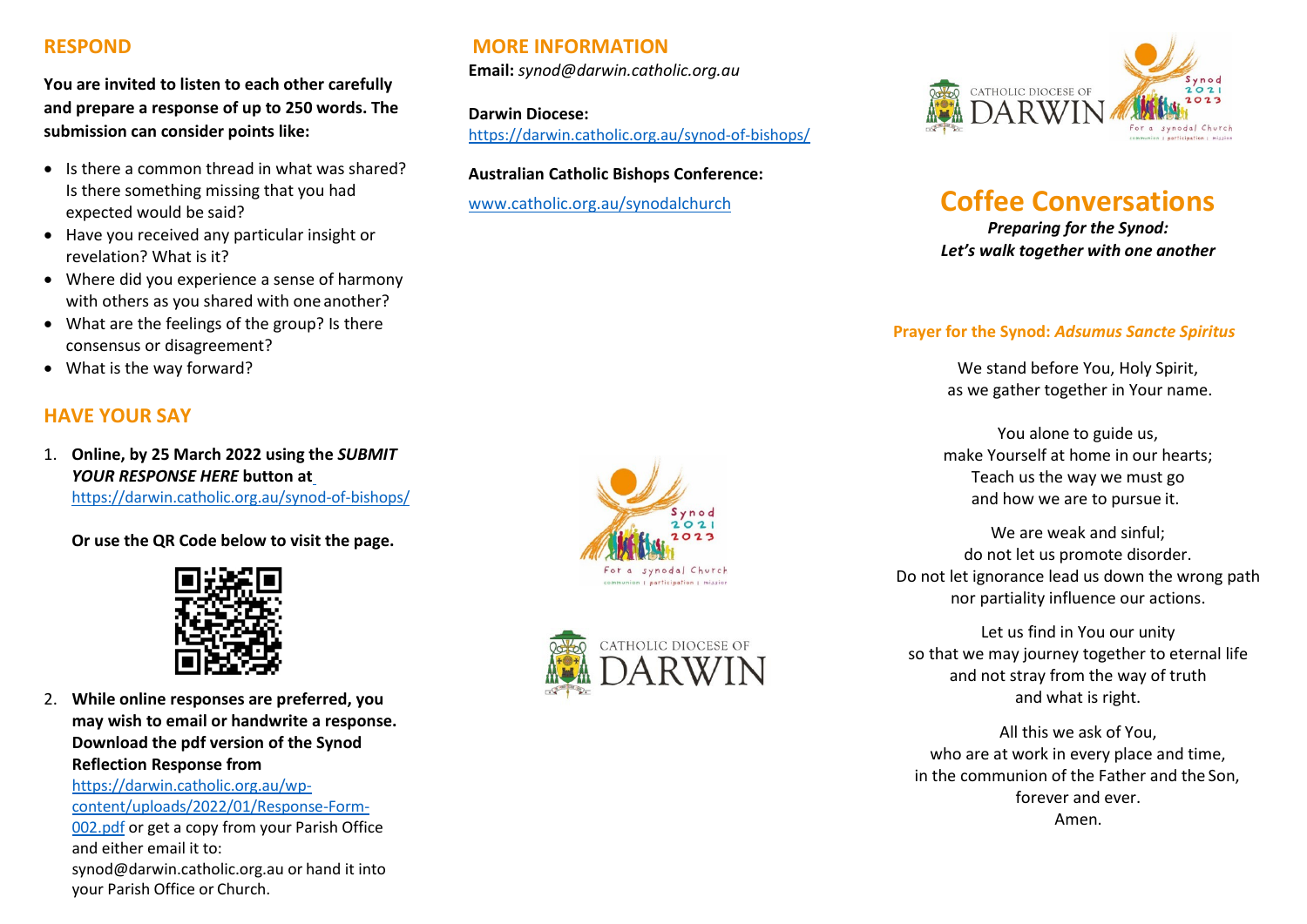## **RESPOND**

**You are invited to listen to each other carefully and prepare a response of up to 250 words. The submission can consider points like:**

- Is there a common thread in what was shared? Is there something missing that you had expected would be said?
- Have you received any particular insight or revelation? What is it?
- Where did you experience a sense of harmony with others as you shared with one another?
- What are the feelings of the group? Is there consensus or disagreement?
- What is the way forward?

# **HAVE YOUR SAY**

1. **Online, by 25 March 2022 using the** *SUBMIT YOUR RESPONSE HERE* **button a[t](https://darwin.catholic.org.au/synod-of-bishops/)** <https://darwin.catholic.org.au/synod-of-bishops/>

**Or use the QR Code below to visit the page.**



2. **While online responses are preferred, you may wish to email or handwrite a response. Download the pdf version of the Synod Reflection Response from** 

[https://darwin.catholic.org.au/wp](https://darwin.catholic.org.au/wp-content/uploads/2022/01/Response-Form-002.pdf)[content/uploads/2022/01/Response-Form-](https://darwin.catholic.org.au/wp-content/uploads/2022/01/Response-Form-002.pdf)

[002.pdf](https://darwin.catholic.org.au/wp-content/uploads/2022/01/Response-Form-002.pdf) or get a copy from your Parish Office and either email it to:

[synod@darwin.catholic.org.au o](mailto:synod@darwin.catholic.org.au)r hand it into your Parish Office or Church.

# **MORE INFORMATION**

**Email:** *[synod@darwin.catholic.org.au](mailto:synod@darwin.catholic.org.au)*

**Darwin Diocese:** <https://darwin.catholic.org.au/synod-of-bishops/>

#### **Australian Catholic Bishops Conference:**







# [www.catholic.org.au/synodalchurch](http://www.catholic.org.au/synodalchurch) **Coffee Conversations**

*Preparing for the Synod: Let's walk together with one another*

#### **Prayer for the Synod:** *Adsumus Sancte Spiritus*

We stand before You, Holy Spirit, as we gather together in Your name.

You alone to guide us, make Yourself at home in our hearts; Teach us the way we must go and how we are to pursue it.

We are weak and sinful; do not let us promote disorder. Do not let ignorance lead us down the wrong path nor partiality influence our actions.

Let us find in You our unity so that we may journey together to eternal life and not stray from the way of truth and what is right.

All this we ask of You, who are at work in every place and time, in the communion of the Father and the Son, forever and ever. Amen.